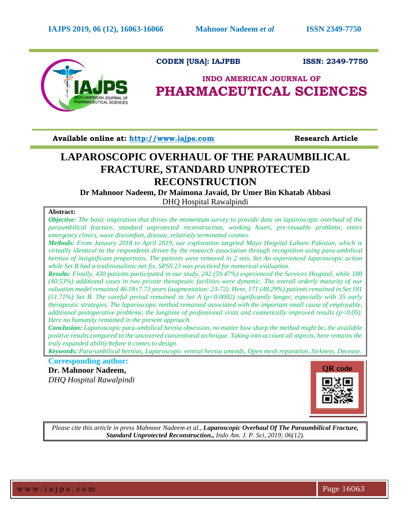

# **CODEN [USA]: IAJPBB ISSN: 2349-7750**

# **INDO AMERICAN JOURNAL OF PHARMACEUTICAL SCIENCES**

**Available online at: [http://www.iajps.com](http://www.iajps.com/)****Research Article**

# **LAPAROSCOPIC OVERHAUL OF THE PARAUMBILICAL FRACTURE, STANDARD UNPROTECTED RECONSTRUCTION**

**Dr Mahnoor Nadeem, Dr Maimona Javaid, Dr Umer Bin Khatab Abbasi** DHQ Hospital Rawalpindi

# **Abstract:**

*Objective: The basic inspiration that drives the momentum survey to provide data on laparoscopic overhaul of the paraumbilical fracture, standard unprotected reconstruction, working hours, pre-reusable problems, entire emergency clinics, wave discomfort, disease, relatively terminated cosmos.* 

*Methods: From January 2018 to April 2019, our exploration targeted Mayo Hospital Lahore Pakistan, which is virtually identical to the respondents driven by the research association through recognition using para-umbilical hernias of insignificant proportions. The patients were removed in 2 sets. Set An experienced laparoscopic action while Set B had a traditionalistic net fix. SPSS 23 was practiced for numerical evaluation.* 

*Results: Finally, 430 patients participated in our study, 242 (59.47%) experienced the Services Hospital, while 188 (40.53%) additional cases in two private therapeutic facilities were dynamic. The overall orderly maturity of our valuation model remained 46.18±7.73 years (augmentation: 23-72). Here, 171 (48.29%) patients remained in Set 181 (51.71%) Set B. The careful period remained in Set A (p<0.0002) significantly longer, especially with 35 early therapeutic strategies. The laparoscopic method remained associated with the important small cause of employable, additional postoperative problems, the longtime of professional visits and cosmetically improved results (p<0.05). Here no humanity remained in the present approach.* 

*Conclusion: Laparoscopic para-umbilical hernia obsession, no matter how sharp the method might be, the available positive results compared to the uncovered conventional technique. Taking into account all aspects, here remains the truly expanded ability before it comes to design.*

*Keywords: Para-umbilical hernias, Laparoscopic ventral hernia amends, Open mesh reparation, Sickness, Decease.*

**Corresponding author:** 

**Dr. Mahnoor Nadeem,** *DHQ Hospital Rawalpindi*



*Please cite this article in press Mahnoor Nadeem et al., Laparoscopic Overhaul Of The Paraumbilical Fracture, Standard Unprotected Reconstruction., Indo Am. J. P. Sci, 2019; 06(12).*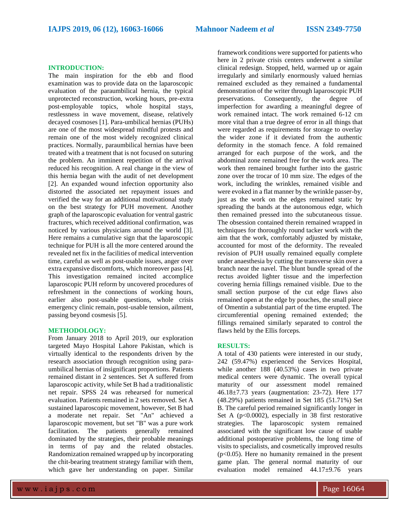#### **INTRODUCTION:**

The main inspiration for the ebb and flood examination was to provide data on the laparoscopic evaluation of the paraumbilical hernia, the typical unprotected reconstruction, working hours, pre-extra post-employable topics, whole hospital stays, restlessness in wave movement, disease, relatively decayed cosmoses [1]. Para-umbilical hernias (PUHs) are one of the most widespread mindful protests and remain one of the most widely recognized clinical practices. Normally, paraumbilical hernias have been treated with a treatment that is not focused on suturing the problem. An imminent repetition of the arrival reduced his recognition. A real change in the view of this hernia began with the audit of net development [2]. An expanded wound infection opportunity also distorted the associated net repayment issues and verified the way for an additional motivational study on the best strategy for PUH movement. Another graph of the laparoscopic evaluation for ventral gastric fractures, which received additional confirmation, was noticed by various physicians around the world [3]. Here remains a cumulative sign that the laparoscopic technique for PUH is all the more centered around the revealed net fix in the facilities of medical intervention time, careful as well as post-usable issues, anger over extra expansive discomforts, which moreover pass [4]. This investigation remained incited accomplice laparoscopic PUH reform by uncovered procedures of refreshment in the connections of working hours, earlier also post-usable questions, whole crisis emergency clinic remain, post-usable tension, ailment, passing beyond cosmesis [5].

### **METHODOLOGY:**

From January 2018 to April 2019, our exploration targeted Mayo Hospital Lahore Pakistan, which is virtually identical to the respondents driven by the research association through recognition using paraumbilical hernias of insignificant proportions. Patients remained distant in 2 sentences. Set A suffered from laparoscopic activity, while Set B had a traditionalistic net repair. SPSS 24 was rehearsed for numerical evaluation. Patients remained in 2 sets removed. Set A sustained laparoscopic movement, however, Set B had a moderate net repair. Set "An" achieved a laparoscopic movement, but set "B" was a pure work facilitation. The patients generally remained dominated by the strategies, their probable meanings in terms of pay and the related obstacles. Randomization remained wrapped up by incorporating the chit-bearing treatment strategy familiar with them, which gave her understanding on paper. Similar

framework conditions were supported for patients who here in 2 private crisis centers underwent a similar clinical redesign. Stopped, held, warmed up or again irregularly and similarly enormously valued hernias remained excluded as they remained a fundamental demonstration of the writer through laparoscopic PUH preservations. Consequently, the degree of imperfection for awarding a meaningful degree of work remained intact. The work remained 6-12 cm more vital than a true degree of error in all things that were regarded as requirements for storage to overlay the wider zone if it deviated from the authentic deformity in the stomach fence. A fold remained arranged for each purpose of the work, and the abdominal zone remained free for the work area. The work then remained brought further into the gastric zone over the trocar of 10 mm size. The edges of the work, including the wrinkles, remained visible and were evoked in a flat manner by the wrinkle passer-by, just as the work on the edges remained static by spreading the bands at the autonomous edge, which then remained pressed into the subcutaneous tissue. The obsession contained therein remained wrapped in techniques for thoroughly round tacker work with the aim that the work, comfortably adjusted by mistake, accounted for most of the deformity. The revealed revision of PUH usually remained equally complete under anaesthesia by cutting the transverse skin over a branch near the navel. The blunt bundle spread of the rectus avoided lighter tissue and the imperfection covering hernia fillings remained visible. Due to the small section purpose of the cut edge flaws also remained open at the edge by pouches, the small piece of Omentin a substantial part of the time erupted. The circumferential opening remained extended; the fillings remained similarly separated to control the flaws held by the Ellis forceps.

#### **RESULTS:**

A total of 430 patients were interested in our study, 242 (59.47%) experienced the Services Hospital, while another 188 (40.53%) cases in two private medical centers were dynamic. The overall typical maturity of our assessment model remained 46.18±7.73 years (augmentation: 23-72). Here 177 (48.29%) patients remained in Set 185 (51.71%) Set B. The careful period remained significantly longer in Set A  $(p<0.0002)$ , especially in 38 first restorative strategies. The laparoscopic system remained associated with the significant low cause of usable additional postoperative problems, the long time of visits to specialists, and cosmetically improved results  $(p<0.05)$ . Here no humanity remained in the present game plan. The general normal maturity of our evaluation model remained 44.17±9.76 years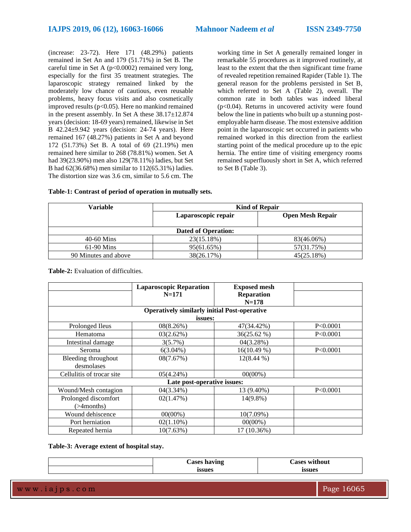(increase: 23-72). Here 171 (48.29%) patients remained in Set An and 179 (51.71%) in Set B. The careful time in Set A (p<0.0002) remained very long, especially for the first 35 treatment strategies. The laparoscopic strategy remained linked by the moderately low chance of cautious, even reusable problems, heavy focus visits and also cosmetically improved results ( $p<0.05$ ). Here no mankind remained in the present assembly. In Set A these 38.17±12.874 years (decision: 18-69 years) remained, likewise in Set B 42.24±9.942 years (decision: 24-74 years). Here remained 167 (48.27%) patients in Set A and beyond 172 (51.73%) Set B. A total of 69 (21.19%) men remained here similar to 268 (78.81%) women. Set A had 39(23.90%) men also 129(78.11%) ladies, but Set B had 62(36.68%) men similar to 112(65.31%) ladies. The distortion size was 3.6 cm, similar to 5.6 cm. The working time in Set A generally remained longer in remarkable 55 procedures as it improved routinely, at least to the extent that the then significant time frame of revealed repetition remained Rapider (Table 1). The general reason for the problems persisted in Set B, which referred to Set A (Table 2), overall. The common rate in both tables was indeed liberal (p<0.04). Returns in uncovered activity were found below the line in patients who built up a stunning postemployable harm disease. The most extensive addition point in the laparoscopic set occurred in patients who remained worked in this direction from the earliest starting point of the medical procedure up to the epic hernia. The entire time of visiting emergency rooms remained superfluously short in Set A, which referred to Set B (Table 3).

| Variable                   | <b>Kind of Repair</b> |                         |  |  |  |
|----------------------------|-----------------------|-------------------------|--|--|--|
|                            | Laparoscopic repair   | <b>Open Mesh Repair</b> |  |  |  |
| <b>Dated of Operation:</b> |                       |                         |  |  |  |
| $40-60$ Mins               | 23(15.18%)            | 83(46.06%)              |  |  |  |
| $61-90$ Mins               | 95(61.65%)            | 57(31.75%)              |  |  |  |
| 90 Minutes and above       | 38(26.17%)            | 45(25.18%)              |  |  |  |

**Table-1: Contrast of period of operation in mutually sets.**

**Table-2:** Evaluation of difficulties.

|                                                     | <b>Laparoscopic Reparation</b> | <b>Exposed mesh</b> |            |  |  |
|-----------------------------------------------------|--------------------------------|---------------------|------------|--|--|
|                                                     | $N = 171$                      | Reparation          |            |  |  |
|                                                     |                                | $N = 178$           |            |  |  |
| <b>Operatively similarly initial Post-operative</b> |                                |                     |            |  |  |
| issues:                                             |                                |                     |            |  |  |
| Prolonged Ileus                                     | 08(8.26%)                      | 47(34.42%)          | P < 0.0001 |  |  |
| Hematoma                                            | 03(2.62%)                      | $36(25.62\%)$       | P<0.0001   |  |  |
| Intestinal damage                                   | $3(5.7\%)$                     | 04(3.28%)           |            |  |  |
| Seroma                                              | $6(3.04\%)$                    | $16(10.49\%)$       | P<0.0001   |  |  |
| Bleeding throughout                                 | 08(7.67%)                      | $12(8.44\%)$        |            |  |  |
| desmolases                                          |                                |                     |            |  |  |
| Cellulitis of trocar site                           | $05(4.24\%)$                   | $00(00\%)$          |            |  |  |
| Late post-operative issues:                         |                                |                     |            |  |  |
| Wound/Mesh contagion                                | 04(3.34%)                      | 13 (9.40%)          | P<0.0001   |  |  |
| Prolonged discomfort                                | 02(1.47%)                      | $14(9.8\%)$         |            |  |  |
| (>4months)                                          |                                |                     |            |  |  |
| Wound dehiscence                                    | $00(00\%)$                     | 10(7.09%)           |            |  |  |
| Port herniation                                     | $02(1.10\%)$                   | $00(00\%)$          |            |  |  |
| Repeated hernia                                     | 10(7.63%)                      | 17 (10.36%)         |            |  |  |

**Table-3: Average extent of hospital stay.**

|  | Cases having | lases without<br>- 0 |
|--|--------------|----------------------|
|  | ssues        | issues<br>$\sim$     |